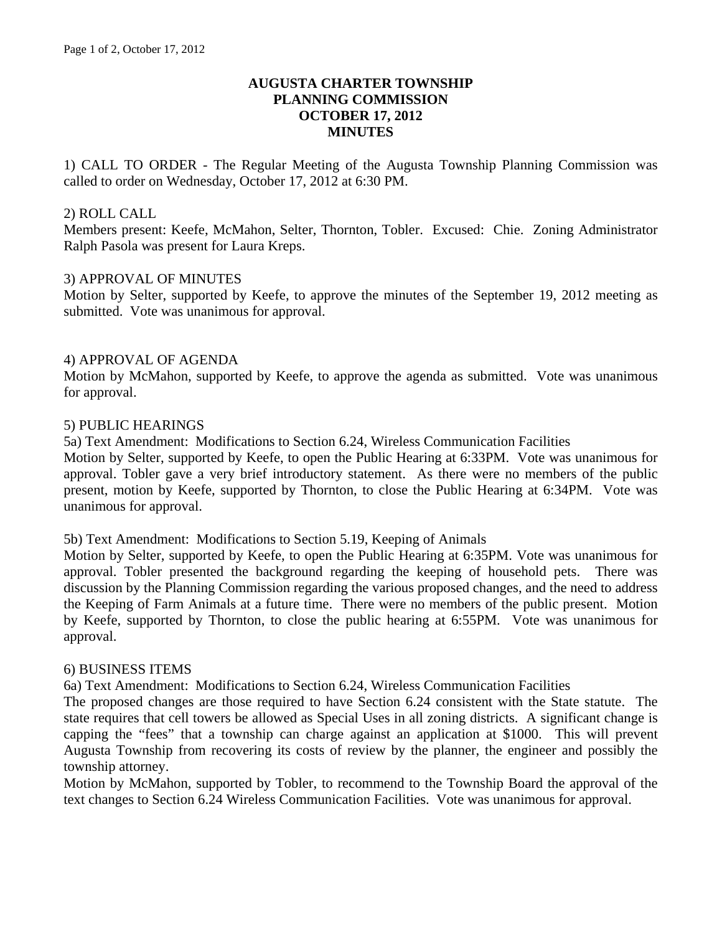# **AUGUSTA CHARTER TOWNSHIP PLANNING COMMISSION OCTOBER 17, 2012 MINUTES**

1) CALL TO ORDER - The Regular Meeting of the Augusta Township Planning Commission was called to order on Wednesday, October 17, 2012 at 6:30 PM.

#### 2) ROLL CALL

Members present: Keefe, McMahon, Selter, Thornton, Tobler. Excused: Chie. Zoning Administrator Ralph Pasola was present for Laura Kreps.

## 3) APPROVAL OF MINUTES

Motion by Selter, supported by Keefe, to approve the minutes of the September 19, 2012 meeting as submitted. Vote was unanimous for approval.

## 4) APPROVAL OF AGENDA

Motion by McMahon, supported by Keefe, to approve the agenda as submitted. Vote was unanimous for approval.

## 5) PUBLIC HEARINGS

5a) Text Amendment: Modifications to Section 6.24, Wireless Communication Facilities

Motion by Selter, supported by Keefe, to open the Public Hearing at 6:33PM. Vote was unanimous for approval. Tobler gave a very brief introductory statement. As there were no members of the public present, motion by Keefe, supported by Thornton, to close the Public Hearing at 6:34PM. Vote was unanimous for approval.

#### 5b) Text Amendment: Modifications to Section 5.19, Keeping of Animals

Motion by Selter, supported by Keefe, to open the Public Hearing at 6:35PM. Vote was unanimous for approval. Tobler presented the background regarding the keeping of household pets. There was discussion by the Planning Commission regarding the various proposed changes, and the need to address the Keeping of Farm Animals at a future time. There were no members of the public present. Motion by Keefe, supported by Thornton, to close the public hearing at 6:55PM. Vote was unanimous for approval.

#### 6) BUSINESS ITEMS

6a) Text Amendment: Modifications to Section 6.24, Wireless Communication Facilities

The proposed changes are those required to have Section 6.24 consistent with the State statute. The state requires that cell towers be allowed as Special Uses in all zoning districts. A significant change is capping the "fees" that a township can charge against an application at \$1000. This will prevent Augusta Township from recovering its costs of review by the planner, the engineer and possibly the township attorney.

Motion by McMahon, supported by Tobler, to recommend to the Township Board the approval of the text changes to Section 6.24 Wireless Communication Facilities. Vote was unanimous for approval.